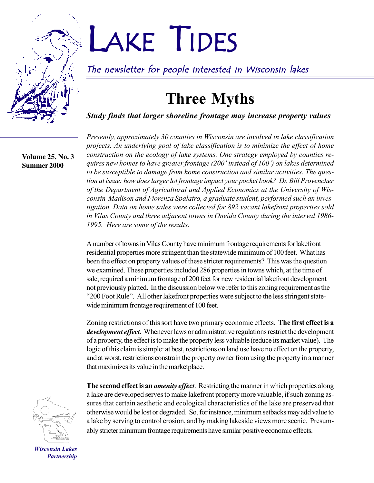

# LAKE TIDES

The newsletter for people interested in Wisconsin lakes

# **Three Myths**

*Study finds that larger shoreline frontage may increase property values*

**Volume 25, No. 3 Summer 2000**

*Presently, approximately 30 counties in Wisconsin are involved in lake classification projects. An underlying goal of lake classification is to minimize the effect of home construction on the ecology of lake systems. One strategy employed by counties requires new homes to have greater frontage (200' instead of 100') on lakes determined to be susceptible to damage from home construction and similar activities. The question at issue: how does larger lot frontage impact your pocket book? Dr. Bill Provencher of the Department of Agricultural and Applied Economics at the University of Wisconsin-Madison and Fiorenza Spalatro, a graduate student, performed such an investigation. Data on home sales were collected for 892 vacant lakefront properties sold in Vilas County and three adjacent towns in Oneida County during the interval 1986- 1995. Here are some of the results.*

A number of towns in Vilas County have minimum frontage requirements for lakefront residential properties more stringent than the statewide minimum of 100 feet. What has been the effect on property values of these stricter requirements? This was the question we examined. These properties included 286 properties in towns which, at the time of sale, required a minimum frontage of 200 feet for new residential lakefront development not previously platted. In the discussion below we refer to this zoning requirement as the ì200 Foot Ruleî. All other lakefront properties were subject to the less stringent statewide minimum frontage requirement of 100 feet.

Zoning restrictions of this sort have two primary economic effects. **The first effect is a** *development effect***.** Whenever laws or administrative regulations restrict the development of a property, the effect is to make the property less valuable (reduce its market value). The logic of this claim is simple: at best, restrictions on land use have no effect on the property, and at worst, restrictions constrain the property owner from using the property in a manner that maximizes its value in the marketplace.

**The second effect is an** *amenity effect*. Restricting the manner in which properties along a lake are developed serves to make lakefront property more valuable, if such zoning as-



sures that certain aesthetic and ecological characteristics of the lake are preserved that otherwise would be lost or degraded. So, for instance, minimum setbacks may add value to a lake by serving to control erosion, and by making lakeside views more scenic. Presumably stricter minimum frontage requirements have similar positive economic effects.

*Wisconsin Lakes Partnership*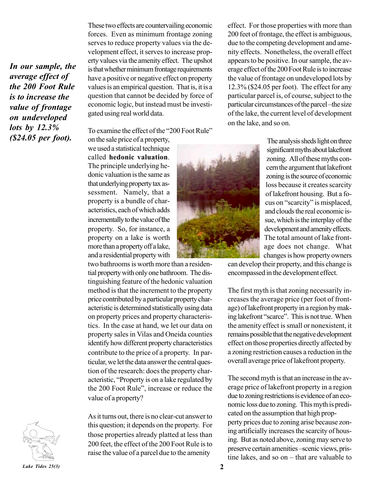*In our sample, the average effect of the 200 Foot Rule is to increase the value of frontage on undeveloped lots by 12.3% (\$24.05 per foot).*

These two effects are countervailing economic forces. Even as minimum frontage zoning serves to reduce property values via the development effect, it serves to increase property values via the amenity effect. The upshot is that whether minimum frontage requirements have a positive or negative effect on property values is an empirical question. That is, it is a question that cannot be decided by force of economic logic, but instead must be investigated using real world data.

To examine the effect of the "200 Foot Rule"

on the sale price of a property, we used a statistical technique called **hedonic valuation**. The principle underlying hedonic valuation is the same as that underlying property tax assessment. Namely, that a property is a bundle of characteristics, each of which adds incrementally to the value of the property. So, for instance, a property on a lake is worth more than a property off a lake, and a residential property with

two bathrooms is worth more than a residential property with only one bathroom. The distinguishing feature of the hedonic valuation method is that the increment to the property price contributed by a particular property characteristic is determined statistically using data on property prices and property characteristics. In the case at hand, we let our data on property sales in Vilas and Oneida counties identify how different property characteristics contribute to the price of a property. In particular, we let the data answer the central question of the research: does the property characteristic, "Property is on a lake regulated by the 200 Foot Rule", increase or reduce the value of a property?

As it turns out, there is no clear-cut answer to this question; it depends on the property. For those properties already platted at less than 200 feet, the effect of the 200 Foot Rule is to raise the value of a parcel due to the amenity

effect. For those properties with more than 200 feet of frontage, the effect is ambiguous, due to the competing development and amenity effects. Nonetheless, the overall effect appears to be positive. In our sample, the average effect of the 200 Foot Rule is to increase the value of frontage on undeveloped lots by 12.3% (\$24.05 per foot). The effect for any particular parcel is, of course, subject to the particular circumstances of the parcel – the size of the lake, the current level of development on the lake, and so on.

The analysis sheds light on three significant myths about lakefront zoning. All of these myths concern the argument that lakefront zoning is the source of economic loss because it creates scarcity of lakefront housing. But a focus on "scarcity" is misplaced, and clouds the real economic issue, which is the interplay of the development and amenity effects. The total amount of lake frontage does not change. What changes is how property owners

can develop their property, and this change is encompassed in the development effect.

The first myth is that zoning necessarily increases the average price (per foot of frontage) of lakefront property in a region by making lakefront "scarce". This is not true. When the amenity effect is small or nonexistent, it remains possible that the negative development effect on those properties directly affected by a zoning restriction causes a reduction in the overall average price of lakefront property.

The second myth is that an increase in the average price of lakefront property in a region due to zoning restrictions is evidence of an economic loss due to zoning. This myth is predicated on the assumption that high propperty prices due to zoning arise because zoning artificially increases the scarcity of housing. But as noted above, zoning may serve to preserve certain amenities -scenic views, pristine lakes, and so on  $-$  that are valuable to

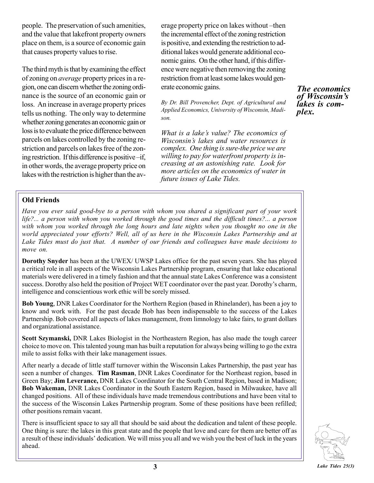people. The preservation of such amenities, and the value that lakefront property owners place on them, is a source of economic gain that causes property values to rise.

The third myth is that by examining the effect of zoning on *average* property prices in a region, one can discern whether the zoning ordinance is the source of an economic gain or loss. An increase in average property prices tells us nothing. The only way to determine whether zoning generates an economic gain or loss is to evaluate the price difference between parcels on lakes controlled by the zoning restriction and parcels on lakes free of the zoning restriction. If this difference is positive  $\rightarrow$  if, in other words, the average property price on lakes with the restriction is higher than the average property price on lakes without-then the incremental effect of the zoning restriction is positive, and extending the restriction to additional lakes would generate additional economic gains. On the other hand, if this difference were negative then removing the zoning restriction from at least some lakes would generate economic gains.

*By Dr. Bill Provencher, Dept. of Agricultural and Applied Economics, University of Wisconsin, Madison.*

*What is a lakeís value? The economics of Wisconsinís lakes and water resources is complex. One thing is sure-the price we are willing to pay for waterfront property is increasing at an astonishing rate. Look for more articles on the economics of water in future issues of Lake Tides.*

*The economics of Wisconsinís lakes is complex.*

#### **Old Friends**

*Have you ever said good-bye to a person with whom you shared a significant part of your work life?... a person with whom you worked through the good times and the difficult times?... a person with whom you worked through the long hours and late nights when you thought no one in the world appreciated your efforts? Well, all of us here in the Wisconsin Lakes Partnership and at Lake Tides must do just that. A number of our friends and colleagues have made decisions to move on.*

**Dorothy Snyder** has been at the UWEX/ UWSP Lakes office for the past seven years. She has played a critical role in all aspects of the Wisconsin Lakes Partnership program, ensuring that lake educational materials were delivered in a timely fashion and that the annual state Lakes Conference was a consistent success. Dorothy also held the position of Project WET coordinator over the past year. Dorothy's charm, intelligence and conscientious work ethic will be sorely missed.

**Bob Young**, DNR Lakes Coordinator for the Northern Region (based in Rhinelander), has been a joy to know and work with. For the past decade Bob has been indispensable to the success of the Lakes Partnership. Bob covered all aspects of lakes management, from limnology to lake fairs, to grant dollars and organizational assistance.

**Scott Szymanski,** DNR Lakes Biologist in the Northeastern Region, has also made the tough career choice to move on. This talented young man has built a reputation for always being willing to go the extra mile to assist folks with their lake management issues.

After nearly a decade of little staff turnover within the Wisconsin Lakes Partnership, the past year has seen a number of changes. **Tim Rasman**, DNR Lakes Coordinator for the Northeast region, based in Green Bay; **Jim Leverance,** DNR Lakes Coordinator for the South Central Region, based in Madison; **Bob Wakeman,** DNR Lakes Coordinator in the South Eastern Region, based in Milwaukee, have all changed positions. All of these individuals have made tremendous contributions and have been vital to the success of the Wisconsin Lakes Partnership program. Some of these positions have been refilled; other positions remain vacant.

There is insufficient space to say all that should be said about the dedication and talent of these people. One thing is sure: the lakes in this great state and the people that love and care for them are better off as a result of these individuals' dedication. We will miss you all and we wish you the best of luck in the years ahead.

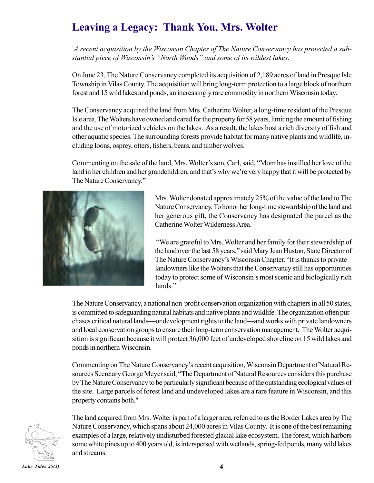## **Leaving a Legacy: Thank You, Mrs. Wolter** *.*

*A recent acquisition by the Wisconsin Chapter of The Nature Conservancy has protected a sub*stantial piece of Wisconsin's "North Woods" and some of its wildest lakes.

On June 23, The Nature Conservancy completed its acquisition of 2,189 acres of land in Presque Isle Township in Vilas County. The acquisition will bring long-term protection to a large block of northern forest and 15 wild lakes and ponds, an increasingly rare commodity in northern Wisconsin today.

The Conservancy acquired the land from Mrs. Catherine Wolter, a long-time resident of the Presque Isle area. The Wolters have owned and cared for the property for 58 years, limiting the amount of fishing and the use of motorized vehicles on the lakes. As a result, the lakes host a rich diversity of fish and other aquatic species. The surrounding forests provide habitat for many native plants and wildlife, including loons, osprey, otters, fishers, bears, and timber wolves.

Commenting on the sale of the land, Mrs. Wolter's son, Carl, said, "Mom has instilled her love of the land in her children and her grandchildren, and that's why we're very happy that it will be protected by The Nature Conservancy."



Mrs. Wolter donated approximately 25% of the value of the land to The Nature Conservancy. To honor her long-time stewardship of the land and her generous gift, the Conservancy has designated the parcel as the Catherine Wolter Wilderness Area.

 ìWe are grateful to Mrs. Wolter and her family for their stewardship of the land over the last 58 years," said Mary Jean Huston, State Director of The Nature Conservancy's Wisconsin Chapter. "It is thanks to private landowners like the Wolters that the Conservancy still has opportunities today to protect some of Wisconsin's most scenic and biologically rich lands."

The Nature Conservancy, a national non-profit conservation organization with chapters in all 50 states, is committed to safeguarding natural habitats and native plants and wildlife. The organization often purchases critical natural lands—or development rights to the land—and works with private landowners and local conservation groups to ensure their long-term conservation management. The Wolter acquisition is significant because it will protect 36,000 feet of undeveloped shoreline on 15 wild lakes and ponds in northern Wisconsin.

Commenting on The Nature Conservancy's recent acquisition, Wisconsin Department of Natural Resources Secretary George Meyer said, "The Department of Natural Resources considers this purchase by The Nature Conservancy to be particularly significant because of the outstanding ecological values of the site. Large parcels of forest land and undeveloped lakes are a rare feature in Wisconsin, and this property contains both."



The land acquired from Mrs. Wolter is part of a larger area, referred to as the Border Lakes area by The Nature Conservancy, which spans about 24,000 acres in Vilas County. It is one of the best remaining examples of a large, relatively undisturbed forested glacial lake ecosystem. The forest, which harbors some white pines up to 400 years old, is interspersed with wetlands, spring-fed ponds, many wild lakes and streams.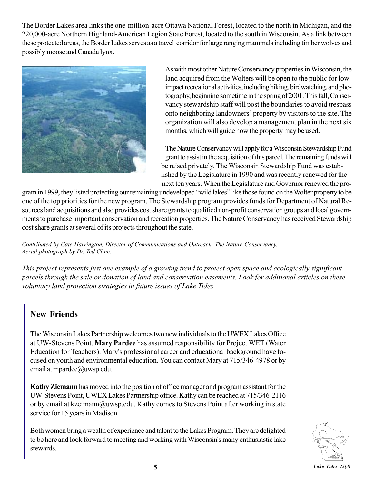The Border Lakes area links the one-million-acre Ottawa National Forest, located to the north in Michigan, and the 220,000-acre Northern Highland-American Legion State Forest, located to the south in Wisconsin. As a link between these protected areas, the Border Lakes serves as a travel corridor for large ranging mammals including timber wolves and possibly moose and Canada lynx.



As with most other Nature Conservancy properties in Wisconsin, the land acquired from the Wolters will be open to the public for lowimpact recreational activities, including hiking, birdwatching, and photography, beginning sometime in the spring of 2001. This fall, Conservancy stewardship staff will post the boundaries to avoid trespass onto neighboring landowners' property by visitors to the site. The organization will also develop a management plan in the next six months, which will guide how the property may be used.

The Nature Conservancy will apply for a Wisconsin Stewardship Fund grant to assist in the acquisition of this parcel. The remaining funds will be raised privately. The Wisconsin Stewardship Fund was estab lished by the Legislature in 1990 and was recently renewed for the next ten years. When the Legislature and Governor renewed the pro-

gram in 1999, they listed protecting our remaining undeveloped "wild lakes" like those found on the Wolter property to be one of the top priorities for the new program. The Stewardship program provides funds for Department of Natural Resources land acquisitions and also provides cost share grants to qualified non-profit conservation groups and local governments to purchase important conservation and recreation properties. The Nature Conservancy has received Stewardship cost share grants at several of its projects throughout the state.

*Contributed by Cate Harrington, Director of Communications and Outreach, The Nature Conservancy. Aerial photograph by Dr. Ted Cline.*

*This project represents just one example of a growing trend to protect open space and ecologically significant parcels through the sale or donation of land and conservation easements. Look for additional articles on these voluntary land protection strategies in future issues of Lake Tides.*

#### **New Friends**

The Wisconsin Lakes Partnership welcomes two new individuals to the UWEX Lakes Office at UW-Stevens Point. **Mary Pardee** has assumed responsibility for Project WET (Water Education for Teachers). Mary's professional career and educational background have focused on youth and environmental education. You can contact Mary at 715/346-4978 or by email at mpardee@uwsp.edu.

**Kathy Ziemann** has moved into the position of office manager and program assistant for the UW-Stevens Point, UWEX Lakes Partnership office. Kathy can be reached at 715/346-2116 or by email at kzeimann@uwsp.edu. Kathy comes to Stevens Point after working in state service for 15 years in Madison.

Both women bring a wealth of experience and talent to the Lakes Program. They are delighted to be here and look forward to meeting and working with Wisconsin's many enthusiastic lake stewards.

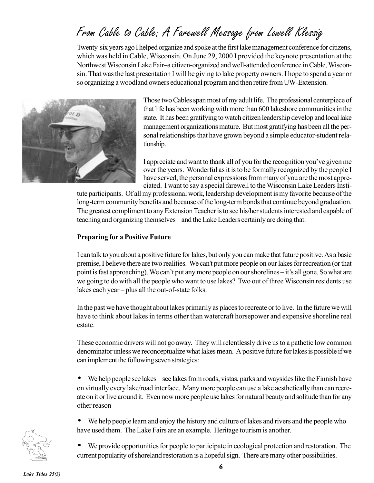# From Cable to Cable: A Farewell Message from Lowell Klessig

Twenty-six years ago I helped organize and spoke at the first lake management conference for citizens, which was held in Cable, Wisconsin. On June 29, 2000 I provided the keynote presentation at the Northwest Wisconsin Lake Fair-a citizen-organized and well-attended conference in Cable, Wisconsin. That was the last presentation I will be giving to lake property owners. I hope to spend a year or so organizing a woodland owners educational program and then retire from UW-Extension.



Those two Cables span most of my adult life. The professional centerpiece of that life has been working with more than 600 lakeshore communities in the state. It has been gratifying to watch citizen leadership develop and local lake management organizations mature. But most gratifying has been all the personal relationships that have grown beyond a simple educator-student relationship.

I appreciate and want to thank all of you for the recognition you've given me over the years. Wonderful as it is to be formally recognized by the people I have served, the personal expressions from many of you are the most appreciated. I want to say a special farewell to the Wisconsin Lake Leaders Insti-

tute participants. Of all my professional work, leadership development is my favorite because of the long-term community benefits and because of the long-term bonds that continue beyond graduation. The greatest compliment to any Extension Teacher is to see his/her students interested and capable of teaching and organizing themselves – and the Lake Leaders certainly are doing that.

#### **Preparing for a Positive Future**

I can talk to you about a positive future for lakes, but only you can make that future positive. As a basic premise, I believe there are two realities. We can't put more people on our lakes for recreation (or that point is fast approaching). We can't put any more people on our shorelines – it's all gone. So what are we going to do with all the people who want to use lakes? Two out of three Wisconsin residents use lakes each year  $-\text{plus all}$  the out-of-state folks.

In the past we have thought about lakes primarily as places to recreate or to live. In the future we will have to think about lakes in terms other than watercraft horsepower and expensive shoreline real estate.

These economic drivers will not go away. They will relentlessly drive us to a pathetic low common denominator unless we reconceptualize what lakes mean. A positive future for lakes is possible if we can implement the following seven strategies:

• We help people see lakes – see lakes from roads, vistas, parks and waysides like the Finnish have on virtually every lake/road interface. Many more people can use a lake aesthetically than can recreate on it or live around it. Even now more people use lakes for natural beauty and solitude than for any other reason

• We help people learn and enjoy the history and culture of lakes and rivers and the people who have used them. The Lake Fairs are an example. Heritage tourism is another.

We provide opportunities for people to participate in ecological protection and restoration. The current popularity of shoreland restoration is a hopeful sign. There are many other possibilities.

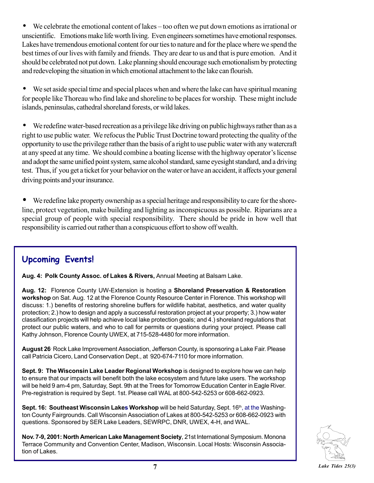$\bullet$  We celebrate the emotional content of lakes – too often we put down emotions as irrational or unscientific. Emotions make life worth living. Even engineers sometimes have emotional responses. Lakes have tremendous emotional content for our ties to nature and for the place where we spend the best times of our lives with family and friends. They are dear to us and that is pure emotion. And it should be celebrated not put down. Lake planning should encourage such emotionalism by protecting and redeveloping the situation in which emotional attachment to the lake can flourish.

We set aside special time and special places when and where the lake can have spiritual meaning for people like Thoreau who find lake and shoreline to be places for worship. These might include islands, peninsulas, cathedral shoreland forests, or wild lakes.

• We redefine water-based recreation as a privilege like driving on public highways rather than as a right to use public water. We refocus the Public Trust Doctrine toward protecting the quality of the opportunity to use the privilege rather than the basis of a right to use public water with any watercraft at any speed at any time. We should combine a boating license with the highway operator's license and adopt the same unified point system, same alcohol standard, same eyesight standard, and a driving test. Thus, if you get a ticket for your behavior on the water or have an accident, it affects your general driving points and your insurance.

• We redefine lake property ownership as a special heritage and responsibility to care for the shoreline, protect vegetation, make building and lighting as inconspicuous as possible. Riparians are a special group of people with special responsibility. There should be pride in how well that responsibility is carried out rather than a conspicuous effort to show off wealth.

### **Upcoming Events!**

**Aug. 4: Polk County Assoc. of Lakes & Rivers,** Annual Meeting at Balsam Lake.

**Aug. 12:** Florence County UW-Extension is hosting a **Shoreland Preservation & Restoration workshop** on Sat. Aug. 12 at the Florence County Resource Center in Florence. This workshop will discuss: 1.) benefits of restoring shoreline buffers for wildlife habitat, aesthetics, and water quality protection; 2.) how to design and apply a successful restoration project at your property; 3.) how water classification projects will help achieve local lake protection goals; and 4.) shoreland regulations that protect our public waters, and who to call for permits or questions during your project. Please call Kathy Johnson, Florence County UWEX, at 715-528-4480 for more information.

**August 26.** Rock Lake Improvement Association, Jefferson County, is sponsoring a Lake Fair. Please call Patricia Cicero, Land Conservation Dept., at 920-674-7110 for more information.

**Sept. 9: The Wisconsin Lake Leader Regional Workshop** is designed to explore how we can help to ensure that our impacts will benefit both the lake ecosystem and future lake users. The workshop will be held 9 am-4 pm, Saturday, Sept. 9th at the Trees for Tomorrow Education Center in Eagle River. Pre-registration is required by Sept. 1st. Please call WAL at 800-542-5253 or 608-662-0923.

**Sept. 16: Southeast Wisconsin Lakes Workshop** will be held Saturday, Sept. 16<sup>th</sup>, at the Washington County Fairgrounds. Call Wisconsin Association of Lakes at 800-542-5253 or 608-662-0923 with questions. Sponsored by SER Lake Leaders, SEWRPC, DNR, UWEX, 4-H, and WAL.

**Nov. 7-9, 2001: North American Lake Management Society**, 21st International Symposium. Monona Terrace Community and Convention Center, Madison, Wisconsin. Local Hosts: Wisconsin Association of Lakes.

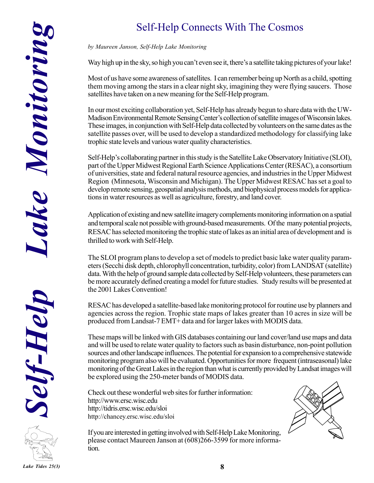## Self-Help Connects With The Cosmos

#### *by Maureen Janson, Self-Help Lake Monitoring*

Way high up in the sky, so high you can't even see it, there's a satellite taking pictures of your lake!

Most of us have some awareness of satellites. I can remember being up North as a child, spotting them moving among the stars in a clear night sky, imagining they were flying saucers. Those satellites have taken on a new meaning for the Self-Help program.

In our most exciting collaboration yet, Self-Help has already begun to share data with the UW-Madison Environmental Remote Sensing Center's collection of satellite images of Wisconsin lakes. These images, in conjunction with Self-Help data collected by volunteers on the same dates as the satellite passes over, will be used to develop a standardized methodology for classifying lake trophic state levels and various water quality characteristics.

Self-Help's collaborating partner in this study is the Satellite Lake Observatory Initiative (SLOI), part of the Upper Midwest Regional Earth Science Applications Center (RESAC), a consortium of universities, state and federal natural resource agencies, and industries in the Upper Midwest Region (Minnesota, Wisconsin and Michigan). The Upper Midwest RESAC has set a goal to develop remote sensing, geospatial analysis methods, and biophysical process models for applications in water resources as well as agriculture, forestry, and land cover.

Application of existing and new satellite imagery complements monitoring information on a spatial and temporal scale not possible with ground-based measurements. Of the many potential projects, RESAC has selected monitoring the trophic state of lakes as an initial area of development and is thrilled to work with Self-Help.

The SLOI program plans to develop a set of models to predict basic lake water quality parameters (Secchi disk depth, chlorophyll concentration, turbidity, color) from LANDSAT (satellite) data. With the help of ground sample data collected by Self-Help volunteers, these parameters can be more accurately defined creating a model for future studies. Study results will be presented at the 2001 Lakes Convention!

RESAC has developed a satellite-based lake monitoring protocol for routine use by planners and agencies across the region. Trophic state maps of lakes greater than 10 acres in size will be produced from Landsat-7 EMT+ data and for larger lakes with MODIS data.

These maps will be linked with GIS databases containing our land cover/land use maps and data and will be used to relate water quality to factors such as basin disturbance, non-point pollution sources and other landscape influences. The potential for expansion to a comprehensive statewide monitoring program also will be evaluated. Opportunities for more frequent (intraseasonal) lake monitoring of the Great Lakes in the region than what is currently provided by Landsat images will be explored using the 250-meter bands of MODIS data.

Check out these wonderful web sites for further information: http://www.ersc.wisc.edu http://tidris.ersc.wisc.edu/sloi http://chancey.ersc.wisc.edu/sloi



If you are interested in getting involved with Self-Help Lake Monitoring, please contact Maureen Janson at (608)266-3599 for more information.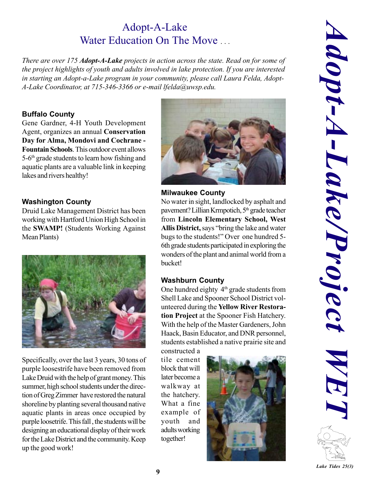## Adopt-A-Lake Water Education On The Move

*There are over 175 Adopt-A-Lake projects in action across the state. Read on for some of the project highlights of youth and adults involved in lake protection. If you are interested in starting an Adopt-a-Lake program in your community, please call Laura Felda, Adopt-A-Lake Coordinator, at 715-346-3366 or e-mail lfelda@uwsp.edu.*

#### **Buffalo County**

Gene Gardner, 4-H Youth Development Agent, organizes an annual **Conservation Day for Alma, Mondovi and Cochrane - Fountain Schools**. This outdoor event allows 5-6th grade students to learn how fishing and aquatic plants are a valuable link in keeping lakes and rivers healthy!

#### **Washington County**

Druid Lake Management District has been working with Hartford Union High School in the **SWAMP!** (Students Working Against Mean Plants)



Specifically, over the last 3 years, 30 tons of purple loosestrife have been removed from Lake Druid with the help of grant money. This summer, high school students under the direction of Greg Zimmer have restored the natural shoreline by planting several thousand native aquatic plants in areas once occupied by purple loosetrife. This fall , the students will be designing an educational display of their work for the Lake District and the community. Keep up the good work!



#### **Milwaukee County**

No water in sight, landlocked by asphalt and pavement? Lillian Krmpotich, 5<sup>th</sup> grade teacher from **Lincoln Elementary School, West** Allis District, says "bring the lake and water bugs to the students!" Over one hundred 5-6th grade students participated in exploring the wonders of the plant and animal world from a bucket!

#### **Washburn County**

One hundred eighty  $4<sup>th</sup>$  grade students from Shell Lake and Spooner School District volunteered during the **Yellow River Restoration Project** at the Spooner Fish Hatchery. With the help of the Master Gardeners, John Haack, Basin Educator, and DNR personnel, students established a native prairie site and

constructed a tile cement block that will later become a walkway at the hatchery. What a fine example of youth and adults working together!

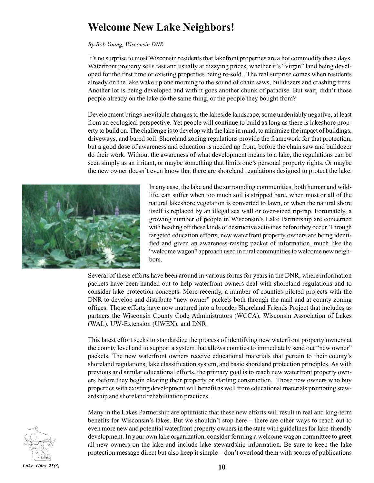## **Welcome New Lake Neighbors!**

#### *By Bob Young, Wisconsin DNR*

Itís no surprise to most Wisconsin residents that lakefront properties are a hot commodity these days. Waterfront property sells fast and usually at dizzying prices, whether it's "virgin" land being developed for the first time or existing properties being re-sold. The real surprise comes when residents already on the lake wake up one morning to the sound of chain saws, bulldozers and crashing trees. Another lot is being developed and with it goes another chunk of paradise. But wait, didn't those people already on the lake do the same thing, or the people they bought from?

Development brings inevitable changes to the lakeside landscape, some undeniably negative, at least from an ecological perspective. Yet people will continue to build as long as there is lakeshore property to build on. The challenge is to develop with the lake in mind, to minimize the impact of buildings, driveways, and bared soil. Shoreland zoning regulations provide the framework for that protection, but a good dose of awareness and education is needed up front, before the chain saw and bulldozer do their work. Without the awareness of what development means to a lake, the regulations can be seen simply as an irritant, or maybe something that limits one's personal property rights. Or maybe the new owner doesnít even know that there are shoreland regulations designed to protect the lake.



In any case, the lake and the surrounding communities, both human and wildlife, can suffer when too much soil is stripped bare, when most or all of the natural lakeshore vegetation is converted to lawn, or when the natural shore itself is replaced by an illegal sea wall or over-sized rip-rap. Fortunately, a growing number of people in Wisconsin's Lake Partnership are concerned with heading off these kinds of destructive activities before they occur. Through targeted education efforts, new waterfront property owners are being identified and given an awareness-raising packet of information, much like the "welcome wagon" approach used in rural communities to welcome new neighbors.

Several of these efforts have been around in various forms for years in the DNR, where information packets have been handed out to help waterfront owners deal with shoreland regulations and to consider lake protection concepts. More recently, a number of counties piloted projects with the DNR to develop and distribute "new owner" packets both through the mail and at county zoning offices. Those efforts have now matured into a broader Shoreland Friends Project that includes as partners the Wisconsin County Code Administrators (WCCA), Wisconsin Association of Lakes (WAL), UW-Extension (UWEX), and DNR.

This latest effort seeks to standardize the process of identifying new waterfront property owners at the county level and to support a system that allows counties to immediately send out "new owner" packets. The new waterfront owners receive educational materials that pertain to their countyís shoreland regulations, lake classification system, and basic shoreland protection principles. As with previous and similar educational efforts, the primary goal is to reach new waterfront property owners before they begin clearing their property or starting construction. Those new owners who buy properties with existing development will benefit as well from educational materials promoting stewardship and shoreland rehabilitation practices.

Many in the Lakes Partnership are optimistic that these new efforts will result in real and long-term benefits for Wisconsin's lakes. But we shouldn't stop here – there are other ways to reach out to even more new and potential waterfront property owners in the state with guidelines for lake-friendly development. In your own lake organization, consider forming a welcome wagon committee to greet all new owners on the lake and include lake stewardship information. Be sure to keep the lake protection message direct but also keep it simple – don't overload them with scores of publications

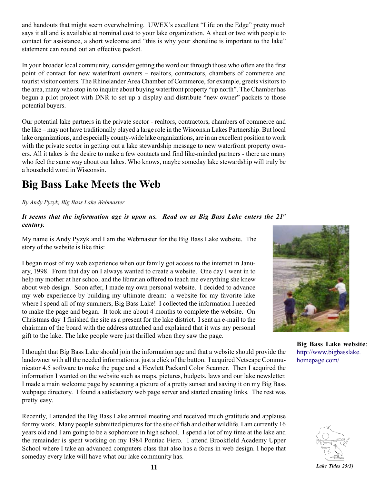and handouts that might seem overwhelming. UWEX's excellent "Life on the Edge" pretty much says it all and is available at nominal cost to your lake organization. A sheet or two with people to contact for assistance, a short welcome and "this is why your shoreline is important to the lake" statement can round out an effective packet.

In your broader local community, consider getting the word out through those who often are the first point of contact for new waterfront owners – realtors, contractors, chambers of commerce and tourist visitor centers. The Rhinelander Area Chamber of Commerce, for example, greets visitors to the area, many who stop in to inquire about buying waterfront property "up north". The Chamber has begun a pilot project with DNR to set up a display and distribute "new owner" packets to those potential buyers.

Our potential lake partners in the private sector - realtors, contractors, chambers of commerce and the like – may not have traditionally played a large role in the Wisconsin Lakes Partnership. But local lake organizations, and especially county-wide lake organizations, are in an excellent position to work with the private sector in getting out a lake stewardship message to new waterfront property owners. All it takes is the desire to make a few contacts and find like-minded partners - there are many who feel the same way about our lakes. Who knows, maybe someday lake stewardship will truly be a household word in Wisconsin.

## **Big Bass Lake Meets the Web**

*By Andy Pyzyk, Big Bass Lake Webmaster*

#### *It seems that the information age is upon us. Read on as Big Bass Lake enters the 21st century.*

My name is Andy Pyzyk and I am the Webmaster for the Big Bass Lake website. The story of the website is like this:

I began most of my web experience when our family got access to the internet in January, 1998. From that day on I always wanted to create a website. One day I went in to help my mother at her school and the librarian offered to teach me everything she knew about web design. Soon after, I made my own personal website. I decided to advance my web experience by building my ultimate dream: a website for my favorite lake where I spend all of my summers, Big Bass Lake! I collected the information I needed to make the page and began. It took me about 4 months to complete the website. On Christmas day I finished the site as a present for the lake district. I sent an e-mail to the chairman of the board with the address attached and explained that it was my personal gift to the lake. The lake people were just thrilled when they saw the page.

I thought that Big Bass Lake should join the information age and that a website should provide the landowner with all the needed information at just a click of the button. I acquired Netscape Communicator 4.5 software to make the page and a Hewlett Packard Color Scanner. Then I acquired the information I wanted on the website such as maps, pictures, budgets, laws and our lake newsletter. I made a main welcome page by scanning a picture of a pretty sunset and saving it on my Big Bass webpage directory. I found a satisfactory web page server and started creating links. The rest was pretty easy.

Recently, I attended the Big Bass Lake annual meeting and received much gratitude and applause for my work. Many people submitted pictures for the site of fish and other wildlife. I am currently 16 years old and I am going to be a sophomore in high school. I spend a lot of my time at the lake and the remainder is spent working on my 1984 Pontiac Fiero. I attend Brookfield Academy Upper School where I take an advanced computers class that also has a focus in web design. I hope that someday every lake will have what our lake community has.



**Big Bass Lake website**: http://www.bigbasslake. homepage.com/